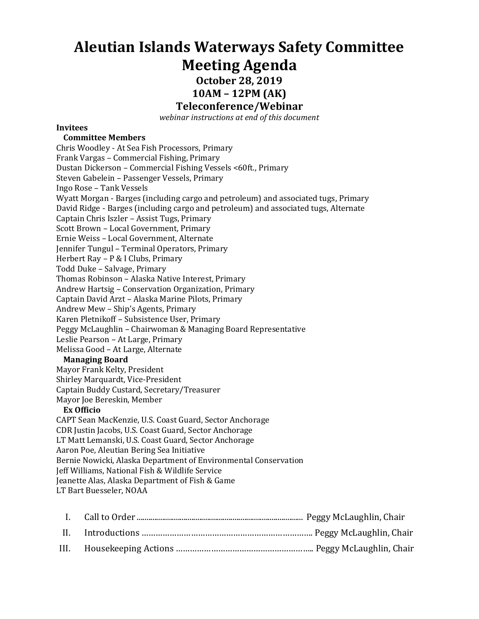# **Aleutian Islands Waterways Safety Committee Meeting Agenda**

**October 28, 2019**

**10AM – 12PM (AK)**

### **Teleconference/Webinar**

*webinar instructions at end of this document*

#### **Invitees**

#### **Committee Members**

Chris Woodley - At Sea Fish Processors, Primary Frank Vargas – Commercial Fishing, Primary Dustan Dickerson – Commercial Fishing Vessels <60ft., Primary Steven Gabelein – Passenger Vessels, Primary Ingo Rose – Tank Vessels Wyatt Morgan - Barges (including cargo and petroleum) and associated tugs, Primary David Ridge - Barges (including cargo and petroleum) and associated tugs, Alternate Captain Chris Iszler – Assist Tugs, Primary Scott Brown – Local Government, Primary Ernie Weiss – Local Government, Alternate Jennifer Tungul – Terminal Operators, Primary Herbert Ray – P & I Clubs, Primary Todd Duke – Salvage, Primary Thomas Robinson – Alaska Native Interest, Primary Andrew Hartsig – Conservation Organization, Primary Captain David Arzt – Alaska Marine Pilots, Primary Andrew Mew – Ship's Agents, Primary Karen Pletnikoff – Subsistence User, Primary Peggy McLaughlin – Chairwoman & Managing Board Representative Leslie Pearson – At Large, Primary Melissa Good – At Large, Alternate **Managing Board** Mayor Frank Kelty, President Shirley Marquardt, Vice-President Captain Buddy Custard, Secretary/Treasurer Mayor Joe Bereskin, Member **Ex Officio** CAPT Sean MacKenzie, U.S. Coast Guard, Sector Anchorage CDR Justin Jacobs, U.S. Coast Guard, Sector Anchorage LT Matt Lemanski, U.S. Coast Guard, Sector Anchorage Aaron Poe, Aleutian Bering Sea Initiative Bernie Nowicki, Alaska Department of Environmental Conservation Jeff Williams, National Fish & Wildlife Service Jeanette Alas, Alaska Department of Fish & Game LT Bart Buesseler, NOAA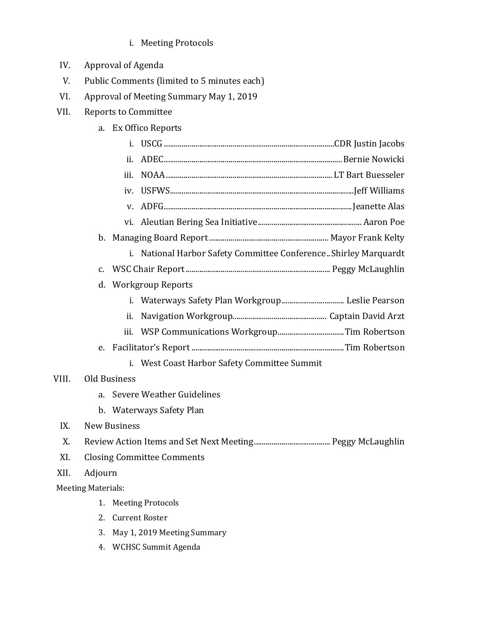- i. Meeting Protocols
- IV. Approval of Agenda
- V. Public Comments (limited to 5 minutes each)
- VI. Approval of Meeting Summary May 1, 2019
- VII. Reports to Committee
	- a. Ex Offico Reports

|                                        |                           | i.                                |                                                                   |  |  |  |
|----------------------------------------|---------------------------|-----------------------------------|-------------------------------------------------------------------|--|--|--|
|                                        |                           | ii.                               |                                                                   |  |  |  |
|                                        |                           | iii.                              |                                                                   |  |  |  |
|                                        |                           | iv.                               |                                                                   |  |  |  |
|                                        |                           | V.                                |                                                                   |  |  |  |
|                                        |                           |                                   |                                                                   |  |  |  |
|                                        |                           |                                   |                                                                   |  |  |  |
|                                        |                           |                                   | i. National Harbor Safety Committee Conference. Shirley Marquardt |  |  |  |
|                                        | $C_{\bullet}$             |                                   |                                                                   |  |  |  |
| <b>Workgroup Reports</b><br>d.         |                           |                                   |                                                                   |  |  |  |
|                                        |                           | i.                                |                                                                   |  |  |  |
|                                        |                           | ii.                               |                                                                   |  |  |  |
|                                        |                           | iii.                              |                                                                   |  |  |  |
|                                        | e.                        |                                   |                                                                   |  |  |  |
|                                        |                           | i.                                | West Coast Harbor Safety Committee Summit                         |  |  |  |
| VIII.                                  | Old Business              |                                   |                                                                   |  |  |  |
| <b>Severe Weather Guidelines</b><br>a. |                           |                                   |                                                                   |  |  |  |
|                                        | $\mathbf{b}$ .            |                                   | Waterways Safety Plan                                             |  |  |  |
| IX.                                    |                           | <b>New Business</b>               |                                                                   |  |  |  |
| X.                                     |                           |                                   |                                                                   |  |  |  |
| XI.                                    |                           | <b>Closing Committee Comments</b> |                                                                   |  |  |  |
| XII.                                   | Adjourn                   |                                   |                                                                   |  |  |  |
|                                        | <b>Meeting Materials:</b> |                                   |                                                                   |  |  |  |
|                                        | 1.                        | <b>Meeting Protocols</b>          |                                                                   |  |  |  |
|                                        | 2.                        | <b>Current Roster</b>             |                                                                   |  |  |  |
|                                        | 3.                        |                                   | May 1, 2019 Meeting Summary                                       |  |  |  |
|                                        | 4.                        |                                   | <b>WCHSC Summit Agenda</b>                                        |  |  |  |